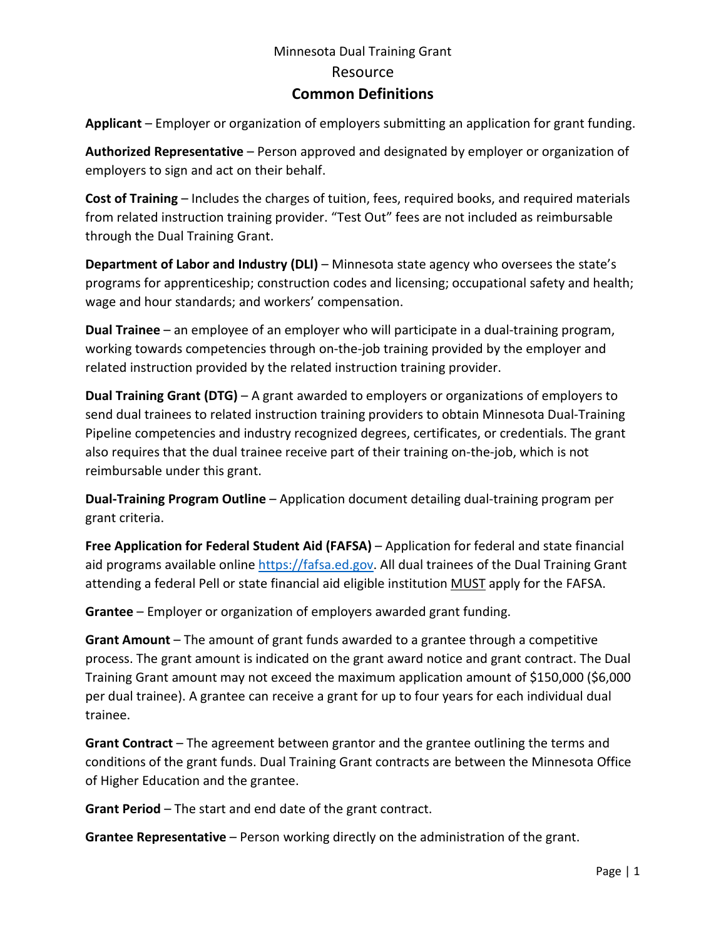## Minnesota Dual Training Grant Resource **Common Definitions**

**Applicant** – Employer or organization of employers submitting an application for grant funding.

**Authorized Representative** – Person approved and designated by employer or organization of employers to sign and act on their behalf.

**Cost of Training** – Includes the charges of tuition, fees, required books, and required materials from related instruction training provider. "Test Out" fees are not included as reimbursable through the Dual Training Grant.

**Department of Labor and Industry (DLI)** – Minnesota state agency who oversees the state's programs for apprenticeship; construction codes and licensing; occupational safety and health; wage and hour standards; and workers' compensation.

**Dual Trainee** – an employee of an employer who will participate in a dual-training program, working towards competencies through on-the-job training provided by the employer and related instruction provided by the related instruction training provider.

**Dual Training Grant (DTG)** – A grant awarded to employers or organizations of employers to send dual trainees to related instruction training providers to obtain Minnesota Dual-Training Pipeline competencies and industry recognized degrees, certificates, or credentials. The grant also requires that the dual trainee receive part of their training on-the-job, which is not reimbursable under this grant.

**Dual-Training Program Outline** – Application document detailing dual-training program per grant criteria.

**Free Application for Federal Student Aid (FAFSA)** – Application for federal and state financial aid programs available online [https://fafsa.ed.gov.](https://fafsa.ed.gov/) All dual trainees of the Dual Training Grant attending a federal Pell or state financial aid eligible institution MUST apply for the FAFSA.

**Grantee** – Employer or organization of employers awarded grant funding.

**Grant Amount** – The amount of grant funds awarded to a grantee through a competitive process. The grant amount is indicated on the grant award notice and grant contract. The Dual Training Grant amount may not exceed the maximum application amount of \$150,000 (\$6,000 per dual trainee). A grantee can receive a grant for up to four years for each individual dual trainee.

**Grant Contract** – The agreement between grantor and the grantee outlining the terms and conditions of the grant funds. Dual Training Grant contracts are between the Minnesota Office of Higher Education and the grantee.

**Grant Period** – The start and end date of the grant contract.

**Grantee Representative** – Person working directly on the administration of the grant.